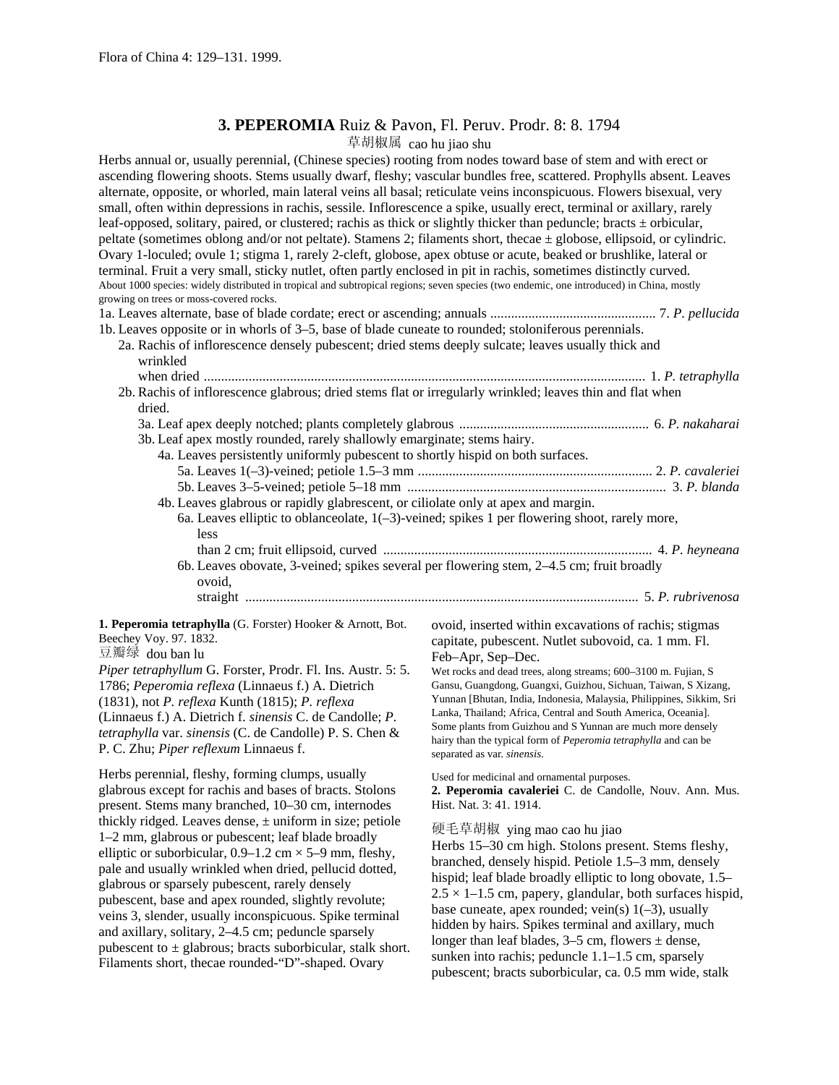## **3. PEPEROMIA** Ruiz & Pavon, Fl. Peruv. Prodr. 8: 8. 1794

草胡椒属 cao hu jiao shu

| 于明似两 Cao nu jiao snu                                                                                                                                                                                                                                                                                                                                                                                                                                                                                                                                                                                                                                                                                                                                                                                                                                                                                                                                                                                                                                                                                                                                                            |                                                                                                                                                                                                                                                                                                                                                                                                                                                                                                                                                                                        |
|---------------------------------------------------------------------------------------------------------------------------------------------------------------------------------------------------------------------------------------------------------------------------------------------------------------------------------------------------------------------------------------------------------------------------------------------------------------------------------------------------------------------------------------------------------------------------------------------------------------------------------------------------------------------------------------------------------------------------------------------------------------------------------------------------------------------------------------------------------------------------------------------------------------------------------------------------------------------------------------------------------------------------------------------------------------------------------------------------------------------------------------------------------------------------------|----------------------------------------------------------------------------------------------------------------------------------------------------------------------------------------------------------------------------------------------------------------------------------------------------------------------------------------------------------------------------------------------------------------------------------------------------------------------------------------------------------------------------------------------------------------------------------------|
| Herbs annual or, usually perennial, (Chinese species) rooting from nodes toward base of stem and with erect or<br>ascending flowering shoots. Stems usually dwarf, fleshy; vascular bundles free, scattered. Prophylls absent. Leaves<br>alternate, opposite, or whorled, main lateral veins all basal; reticulate veins inconspicuous. Flowers bisexual, very<br>small, often within depressions in rachis, sessile. Inflorescence a spike, usually erect, terminal or axillary, rarely<br>leaf-opposed, solitary, paired, or clustered; rachis as thick or slightly thicker than peduncle; bracts ± orbicular,<br>peltate (sometimes oblong and/or not peltate). Stamens 2; filaments short, thecae $\pm$ globose, ellipsoid, or cylindric.<br>Ovary 1-loculed; ovule 1; stigma 1, rarely 2-cleft, globose, apex obtuse or acute, beaked or brushlike, lateral or<br>terminal. Fruit a very small, sticky nutlet, often partly enclosed in pit in rachis, sometimes distinctly curved.<br>About 1000 species: widely distributed in tropical and subtropical regions; seven species (two endemic, one introduced) in China, mostly<br>growing on trees or moss-covered rocks. |                                                                                                                                                                                                                                                                                                                                                                                                                                                                                                                                                                                        |
|                                                                                                                                                                                                                                                                                                                                                                                                                                                                                                                                                                                                                                                                                                                                                                                                                                                                                                                                                                                                                                                                                                                                                                                 |                                                                                                                                                                                                                                                                                                                                                                                                                                                                                                                                                                                        |
| 1b. Leaves opposite or in whorls of 3–5, base of blade cuneate to rounded; stoloniferous perennials.<br>2a. Rachis of inflorescence densely pubescent; dried stems deeply sulcate; leaves usually thick and<br>wrinkled                                                                                                                                                                                                                                                                                                                                                                                                                                                                                                                                                                                                                                                                                                                                                                                                                                                                                                                                                         |                                                                                                                                                                                                                                                                                                                                                                                                                                                                                                                                                                                        |
| 2b. Rachis of inflorescence glabrous; dried stems flat or irregularly wrinkled; leaves thin and flat when                                                                                                                                                                                                                                                                                                                                                                                                                                                                                                                                                                                                                                                                                                                                                                                                                                                                                                                                                                                                                                                                       |                                                                                                                                                                                                                                                                                                                                                                                                                                                                                                                                                                                        |
|                                                                                                                                                                                                                                                                                                                                                                                                                                                                                                                                                                                                                                                                                                                                                                                                                                                                                                                                                                                                                                                                                                                                                                                 |                                                                                                                                                                                                                                                                                                                                                                                                                                                                                                                                                                                        |
| dried.<br>3b. Leaf apex mostly rounded, rarely shallowly emarginate; stems hairy.<br>4a. Leaves persistently uniformly pubescent to shortly hispid on both surfaces.<br>4b. Leaves glabrous or rapidly glabrescent, or ciliolate only at apex and margin.<br>less<br>6b. Leaves obovate, 3-veined; spikes several per flowering stem, 2-4.5 cm; fruit broadly<br>ovoid,                                                                                                                                                                                                                                                                                                                                                                                                                                                                                                                                                                                                                                                                                                                                                                                                         | 6a. Leaves elliptic to oblanceolate, $1(-3)$ -veined; spikes 1 per flowering shoot, rarely more,                                                                                                                                                                                                                                                                                                                                                                                                                                                                                       |
| 1. Peperomia tetraphylla (G. Forster) Hooker & Arnott, Bot.<br>Beechey Voy. 97. 1832.<br>豆瓣绿 dou ban lu<br>Piper tetraphyllum G. Forster, Prodr. Fl. Ins. Austr. 5: 5.<br>1786; Peperomia reflexa (Linnaeus f.) A. Dietrich<br>(1831), not P. reflexa Kunth (1815); P. reflexa<br>(Linnaeus f.) A. Dietrich f. sinensis C. de Candolle; P.<br>tetraphylla var. sinensis (C. de Candolle) P. S. Chen &<br>P. C. Zhu; Piper reflexum Linnaeus f.                                                                                                                                                                                                                                                                                                                                                                                                                                                                                                                                                                                                                                                                                                                                  | ovoid, inserted within excavations of rachis; stigmas<br>capitate, pubescent. Nutlet subovoid, ca. 1 mm. Fl.<br>Feb-Apr, Sep-Dec.<br>Wet rocks and dead trees, along streams; 600-3100 m. Fujian, S<br>Gansu, Guangdong, Guangxi, Guizhou, Sichuan, Taiwan, S Xizang,<br>Yunnan [Bhutan, India, Indonesia, Malaysia, Philippines, Sikkim, Sri<br>Lanka, Thailand; Africa, Central and South America, Oceania].<br>Some plants from Guizhou and S Yunnan are much more densely<br>hairy than the typical form of <i>Peperomia tetraphylla</i> and can be<br>separated as var. sinensis. |
| Herbs perennial, fleshy, forming clumps, usually<br>glabrous except for rachis and bases of bracts. Stolons<br>present. Stems many branched, 10-30 cm, internodes<br>thickly ridged. Leaves dense, $\pm$ uniform in size; petiole<br>1-2 mm, glabrous or pubescent; leaf blade broadly<br>elliptic or suborbicular, $0.9-1.2$ cm $\times$ 5-9 mm, fleshy,<br>pale and usually wrinkled when dried, pellucid dotted,<br>glabrous or sparsely pubescent, rarely densely                                                                                                                                                                                                                                                                                                                                                                                                                                                                                                                                                                                                                                                                                                           | Used for medicinal and ornamental purposes.<br>2. Peperomia cavaleriei C. de Candolle, Nouv. Ann. Mus.<br>Hist. Nat. 3: 41. 1914.<br>硬毛草胡椒 ying mao cao hu jiao<br>Herbs 15-30 cm high. Stolons present. Stems fleshy,<br>branched, densely hispid. Petiole 1.5–3 mm, densely<br>hispid; leaf blade broadly elliptic to long obovate, 1.5–<br>$2.5 \times 1 - 1.5$ cm, papery, glandular, both surfaces hispid,                                                                                                                                                                        |
| pubescent, base and apex rounded, slightly revolute;<br>veins 3, slender, usually inconspicuous. Spike terminal<br>and axillary, solitary, 2-4.5 cm; peduncle sparsely<br>pubescent to $\pm$ glabrous; bracts suborbicular, stalk short.<br>Filaments short, thecae rounded-"D"-shaped. Ovary                                                                                                                                                                                                                                                                                                                                                                                                                                                                                                                                                                                                                                                                                                                                                                                                                                                                                   | base cuneate, apex rounded; vein(s) $1(-3)$ , usually<br>hidden by hairs. Spikes terminal and axillary, much<br>longer than leaf blades, $3-5$ cm, flowers $\pm$ dense,<br>sunken into rachis; peduncle 1.1–1.5 cm, sparsely<br>pubescent; bracts suborbicular, ca. 0.5 mm wide, stalk                                                                                                                                                                                                                                                                                                 |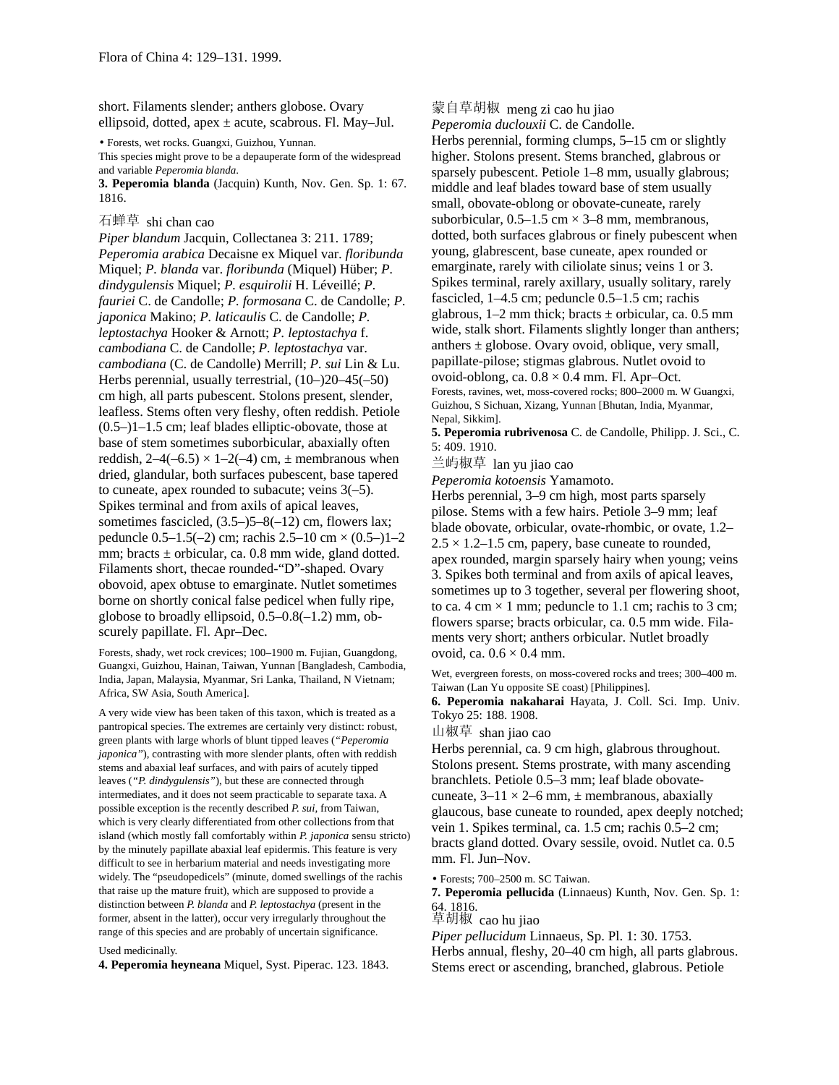short. Filaments slender; anthers globose. Ovary ellipsoid, dotted, apex  $\pm$  acute, scabrous. Fl. May–Jul.

• Forests, wet rocks. Guangxi, Guizhou, Yunnan.

This species might prove to be a depauperate form of the widespread and variable *Peperomia blanda*.

**3. Peperomia blanda** (Jacquin) Kunth, Nov. Gen. Sp. 1: 67. 1816.

## 石蝉草 shi chan cao

*Piper blandum* Jacquin, Collectanea 3: 211. 1789; *Peperomia arabica* Decaisne ex Miquel var. *floribunda* Miquel; *P. blanda* var. *floribunda* (Miquel) Hüber; *P. dindygulensis* Miquel; *P. esquirolii* H. Léveillé; *P. fauriei* C. de Candolle; *P. formosana* C. de Candolle; *P. japonica* Makino; *P. laticaulis* C. de Candolle; *P. leptostachya* Hooker & Arnott; *P. leptostachya* f. *cambodiana* C. de Candolle; *P. leptostachya* var. *cambodiana* (C. de Candolle) Merrill; *P. sui* Lin & Lu. Herbs perennial, usually terrestrial, (10–)20–45(–50) cm high, all parts pubescent. Stolons present, slender, leafless. Stems often very fleshy, often reddish. Petiole  $(0.5-11-1.5)$  cm; leaf blades elliptic-obovate, those at base of stem sometimes suborbicular, abaxially often reddish,  $2-4(-6.5) \times 1-2(-4)$  cm,  $\pm$  membranous when dried, glandular, both surfaces pubescent, base tapered to cuneate, apex rounded to subacute; veins 3(–5). Spikes terminal and from axils of apical leaves, sometimes fascicled,  $(3.5–)5–8(-12)$  cm, flowers lax; peduncle  $0.5-1.5(-2)$  cm; rachis  $2.5-10$  cm  $\times (0.5-1) - 2$ mm; bracts  $\pm$  orbicular, ca. 0.8 mm wide, gland dotted. Filaments short, thecae rounded-"D"-shaped. Ovary obovoid, apex obtuse to emarginate. Nutlet sometimes borne on shortly conical false pedicel when fully ripe, globose to broadly ellipsoid, 0.5–0.8(–1.2) mm, obscurely papillate. Fl. Apr–Dec.

Forests, shady, wet rock crevices; 100–1900 m. Fujian, Guangdong, Guangxi, Guizhou, Hainan, Taiwan, Yunnan [Bangladesh, Cambodia, India, Japan, Malaysia, Myanmar, Sri Lanka, Thailand, N Vietnam; Africa, SW Asia, South America].

A very wide view has been taken of this taxon, which is treated as a pantropical species. The extremes are certainly very distinct: robust, green plants with large whorls of blunt tipped leaves (*"Peperomia japonica"*), contrasting with more slender plants, often with reddish stems and abaxial leaf surfaces, and with pairs of acutely tipped leaves (*"P. dindygulensis"*), but these are connected through intermediates, and it does not seem practicable to separate taxa. A possible exception is the recently described *P. sui,* from Taiwan, which is very clearly differentiated from other collections from that island (which mostly fall comfortably within *P. japonica* sensu stricto) by the minutely papillate abaxial leaf epidermis. This feature is very difficult to see in herbarium material and needs investigating more widely. The "pseudopedicels" (minute, domed swellings of the rachis that raise up the mature fruit), which are supposed to provide a distinction between *P. blanda* and *P. leptostachya* (present in the former, absent in the latter), occur very irregularly throughout the range of this species and are probably of uncertain significance.

## Used medicinally.

**4. Peperomia heyneana** Miquel, Syst. Piperac. 123. 1843.

蒙自草胡椒 meng zi cao hu jiao

*Peperomia duclouxii* C. de Candolle.

Herbs perennial, forming clumps, 5–15 cm or slightly higher. Stolons present. Stems branched, glabrous or sparsely pubescent. Petiole 1–8 mm, usually glabrous; middle and leaf blades toward base of stem usually small, obovate-oblong or obovate-cuneate, rarely suborbicular,  $0.5-1.5$  cm  $\times$  3–8 mm, membranous, dotted, both surfaces glabrous or finely pubescent when young, glabrescent, base cuneate, apex rounded or emarginate, rarely with ciliolate sinus; veins 1 or 3. Spikes terminal, rarely axillary, usually solitary, rarely fascicled, 1–4.5 cm; peduncle 0.5–1.5 cm; rachis glabrous,  $1-2$  mm thick; bracts  $\pm$  orbicular, ca. 0.5 mm wide, stalk short. Filaments slightly longer than anthers; anthers  $\pm$  globose. Ovary ovoid, oblique, very small, papillate-pilose; stigmas glabrous. Nutlet ovoid to ovoid-oblong, ca.  $0.8 \times 0.4$  mm. Fl. Apr–Oct. Forests, ravines, wet, moss-covered rocks; 800–2000 m. W Guangxi, Guizhou, S Sichuan, Xizang, Yunnan [Bhutan, India, Myanmar, Nepal, Sikkim].

**5. Peperomia rubrivenosa** C. de Candolle, Philipp. J. Sci., C. 5: 409. 1910.

兰屿椒草 lan yu jiao cao

*Peperomia kotoensis* Yamamoto.

Herbs perennial, 3–9 cm high, most parts sparsely pilose. Stems with a few hairs. Petiole 3–9 mm; leaf blade obovate, orbicular, ovate-rhombic, or ovate, 1.2–  $2.5 \times 1.2 - 1.5$  cm, papery, base cuneate to rounded, apex rounded, margin sparsely hairy when young; veins 3. Spikes both terminal and from axils of apical leaves, sometimes up to 3 together, several per flowering shoot, to ca. 4 cm  $\times$  1 mm; peduncle to 1.1 cm; rachis to 3 cm; flowers sparse; bracts orbicular, ca. 0.5 mm wide. Filaments very short; anthers orbicular. Nutlet broadly ovoid, ca.  $0.6 \times 0.4$  mm.

Wet, evergreen forests, on moss-covered rocks and trees; 300–400 m. Taiwan (Lan Yu opposite SE coast) [Philippines].

**6. Peperomia nakaharai** Hayata, J. Coll. Sci. Imp. Univ. Tokyo 25: 188. 1908.

山椒草 shan jiao cao

Herbs perennial, ca. 9 cm high, glabrous throughout. Stolons present. Stems prostrate, with many ascending branchlets. Petiole 0.5–3 mm; leaf blade obovatecuneate,  $3-11 \times 2-6$  mm,  $\pm$  membranous, abaxially glaucous, base cuneate to rounded, apex deeply notched; vein 1. Spikes terminal, ca. 1.5 cm; rachis 0.5–2 cm; bracts gland dotted. Ovary sessile, ovoid. Nutlet ca. 0.5 mm. Fl. Jun–Nov.

• Forests; 700–2500 m. SC Taiwan.

**7. Peperomia pellucida** (Linnaeus) Kunth, Nov. Gen. Sp. 1: 64. 1816.

草胡椒 cao hu jiao

*Piper pellucidum* Linnaeus, Sp. Pl. 1: 30. 1753.

Herbs annual, fleshy, 20–40 cm high, all parts glabrous. Stems erect or ascending, branched, glabrous. Petiole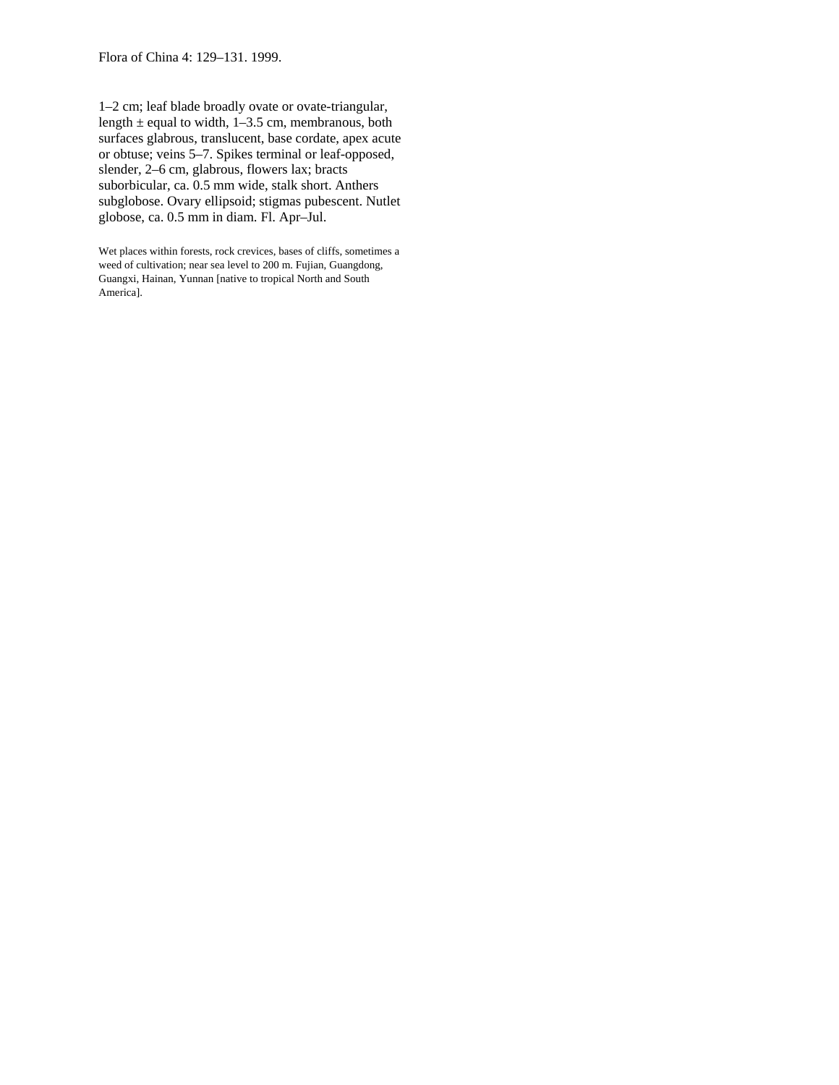Flora of China 4: 129–131. 1999.

1–2 cm; leaf blade broadly ovate or ovate-triangular, length  $\pm$  equal to width, 1–3.5 cm, membranous, both surfaces glabrous, translucent, base cordate, apex acute or obtuse; veins 5–7. Spikes terminal or leaf-opposed, slender, 2–6 cm, glabrous, flowers lax; bracts suborbicular, ca. 0.5 mm wide, stalk short. Anthers subglobose. Ovary ellipsoid; stigmas pubescent. Nutlet globose, ca. 0.5 mm in diam. Fl. Apr–Jul.

Wet places within forests, rock crevices, bases of cliffs, sometimes a weed of cultivation; near sea level to 200 m. Fujian, Guangdong, Guangxi, Hainan, Yunnan [native to tropical North and South America].